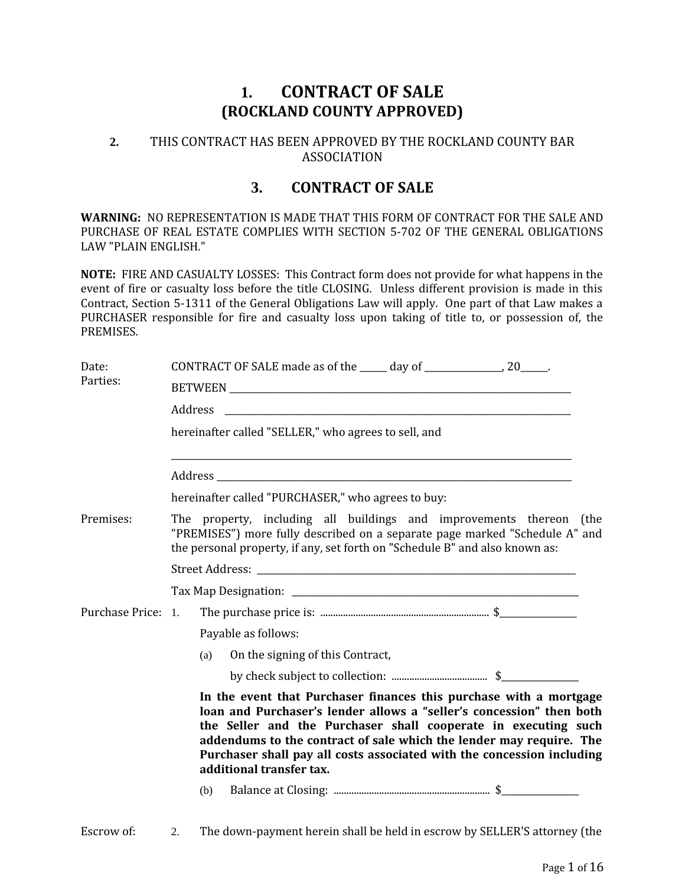# **1. CONTRACT OF SALE (ROCKLAND COUNTY APPROVED)**

## **2.** THIS CONTRACT HAS BEEN APPROVED BY THE ROCKLAND COUNTY BAR ASSOCIATION

# **3. CONTRACT OF SALE**

**WARNING:** NO REPRESENTATION IS MADE THAT THIS FORM OF CONTRACT FOR THE SALE AND PURCHASE OF REAL ESTATE COMPLIES WITH SECTION 5-702 OF THE GENERAL OBLIGATIONS LAW "PLAIN ENGLISH."

**NOTE:** FIRE AND CASUALTY LOSSES: This Contract form does not provide for what happens in the event of fire or casualty loss before the title CLOSING. Unless different provision is made in this Contract, Section 5-1311 of the General Obligations Law will apply. One part of that Law makes a PURCHASER responsible for fire and casualty loss upon taking of title to, or possession of, the PREMISES.

| Date:<br>Parties:  | CONTRACT OF SALE made as of the _____ day of ______________________ 20______.                                                                                                                                                                                                                                                                                                             |  |  |  |  |
|--------------------|-------------------------------------------------------------------------------------------------------------------------------------------------------------------------------------------------------------------------------------------------------------------------------------------------------------------------------------------------------------------------------------------|--|--|--|--|
|                    | Address                                                                                                                                                                                                                                                                                                                                                                                   |  |  |  |  |
|                    | hereinafter called "SELLER," who agrees to sell, and                                                                                                                                                                                                                                                                                                                                      |  |  |  |  |
|                    |                                                                                                                                                                                                                                                                                                                                                                                           |  |  |  |  |
|                    | hereinafter called "PURCHASER," who agrees to buy:                                                                                                                                                                                                                                                                                                                                        |  |  |  |  |
| Premises:          | The property, including all buildings and improvements thereon (the<br>"PREMISES") more fully described on a separate page marked "Schedule A" and<br>the personal property, if any, set forth on "Schedule B" and also known as:                                                                                                                                                         |  |  |  |  |
|                    |                                                                                                                                                                                                                                                                                                                                                                                           |  |  |  |  |
|                    |                                                                                                                                                                                                                                                                                                                                                                                           |  |  |  |  |
| Purchase Price: 1. |                                                                                                                                                                                                                                                                                                                                                                                           |  |  |  |  |
|                    | Payable as follows:                                                                                                                                                                                                                                                                                                                                                                       |  |  |  |  |
|                    | On the signing of this Contract,<br>(a)                                                                                                                                                                                                                                                                                                                                                   |  |  |  |  |
|                    |                                                                                                                                                                                                                                                                                                                                                                                           |  |  |  |  |
|                    | In the event that Purchaser finances this purchase with a mortgage<br>loan and Purchaser's lender allows a "seller's concession" then both<br>the Seller and the Purchaser shall cooperate in executing such<br>addendums to the contract of sale which the lender may require. The<br>Purchaser shall pay all costs associated with the concession including<br>additional transfer tax. |  |  |  |  |
|                    | (b)                                                                                                                                                                                                                                                                                                                                                                                       |  |  |  |  |
| Escrow of:         | The down-payment herein shall be held in escrow by SELLER'S attorney (the<br>2.                                                                                                                                                                                                                                                                                                           |  |  |  |  |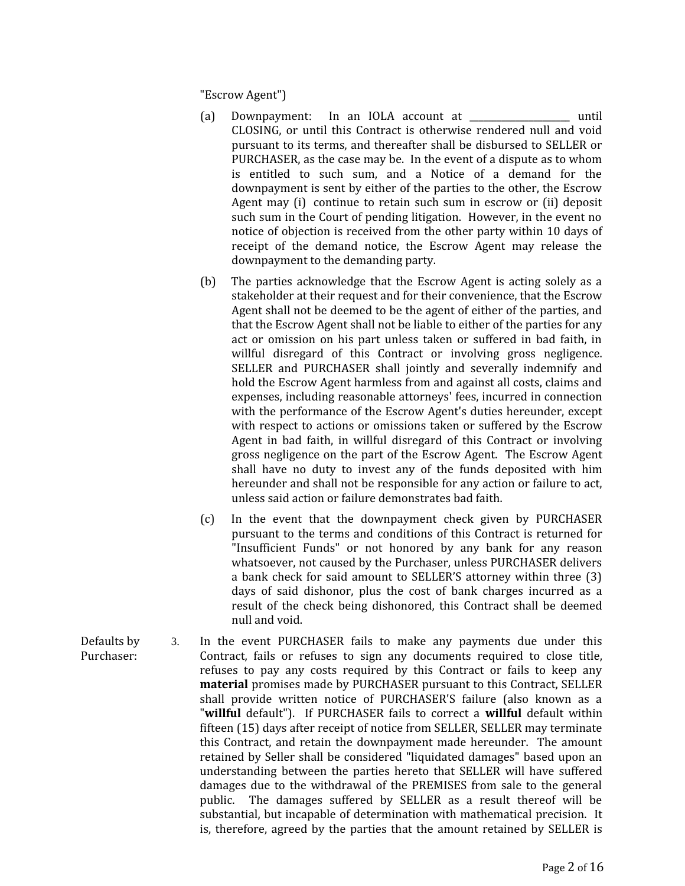"Escrow Agent")

- (a) Downpayment: In an IOLA account at \_\_\_\_\_\_\_\_\_\_\_\_\_\_\_\_\_\_\_\_\_\_ until CLOSING, or until this Contract is otherwise rendered null and void pursuant to its terms, and thereafter shall be disbursed to SELLER or PURCHASER, as the case may be. In the event of a dispute as to whom is entitled to such sum, and a Notice of a demand for the downpayment is sent by either of the parties to the other, the Escrow Agent may (i) continue to retain such sum in escrow or (ii) deposit such sum in the Court of pending litigation. However, in the event no notice of objection is received from the other party within 10 days of receipt of the demand notice, the Escrow Agent may release the downpayment to the demanding party.
- (b) The parties acknowledge that the Escrow Agent is acting solely as a stakeholder at their request and for their convenience, that the Escrow Agent shall not be deemed to be the agent of either of the parties, and that the Escrow Agent shall not be liable to either of the parties for any act or omission on his part unless taken or suffered in bad faith, in willful disregard of this Contract or involving gross negligence. SELLER and PURCHASER shall jointly and severally indemnify and hold the Escrow Agent harmless from and against all costs, claims and expenses, including reasonable attorneys' fees, incurred in connection with the performance of the Escrow Agent's duties hereunder, except with respect to actions or omissions taken or suffered by the Escrow Agent in bad faith, in willful disregard of this Contract or involving gross negligence on the part of the Escrow Agent. The Escrow Agent shall have no duty to invest any of the funds deposited with him hereunder and shall not be responsible for any action or failure to act, unless said action or failure demonstrates bad faith.
- (c) In the event that the downpayment check given by PURCHASER pursuant to the terms and conditions of this Contract is returned for "Insufficient Funds" or not honored by any bank for any reason whatsoever, not caused by the Purchaser, unless PURCHASER delivers a bank check for said amount to SELLER'S attorney within three (3) days of said dishonor, plus the cost of bank charges incurred as a result of the check being dishonored, this Contract shall be deemed null and void.
- Defaults by Purchaser: 3. In the event PURCHASER fails to make any payments due under this Contract, fails or refuses to sign any documents required to close title, refuses to pay any costs required by this Contract or fails to keep any **material** promises made by PURCHASER pursuant to this Contract, SELLER shall provide written notice of PURCHASER'S failure (also known as a "**willful** default"). If PURCHASER fails to correct a **willful** default within fifteen (15) days after receipt of notice from SELLER, SELLER may terminate this Contract, and retain the downpayment made hereunder. The amount retained by Seller shall be considered "liquidated damages" based upon an understanding between the parties hereto that SELLER will have suffered damages due to the withdrawal of the PREMISES from sale to the general public. The damages suffered by SELLER as a result thereof will be substantial, but incapable of determination with mathematical precision. It is, therefore, agreed by the parties that the amount retained by SELLER is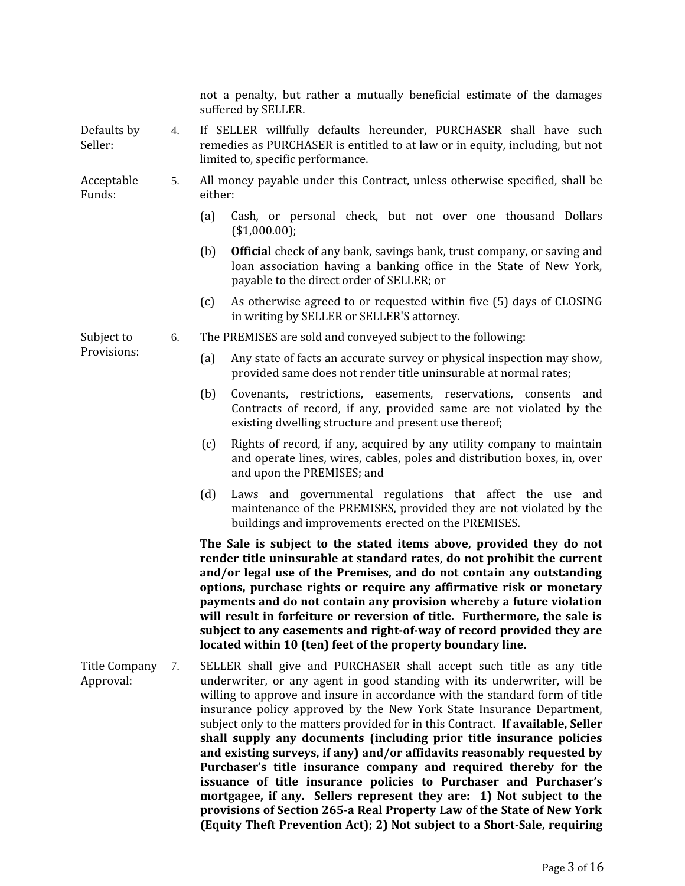|                            |    | not a penalty, but rather a mutually beneficial estimate of the damages<br>suffered by SELLER.                                                                                                                                                                                                                                                                                                                                                                                                                                                                                                                     |  |  |  |  |
|----------------------------|----|--------------------------------------------------------------------------------------------------------------------------------------------------------------------------------------------------------------------------------------------------------------------------------------------------------------------------------------------------------------------------------------------------------------------------------------------------------------------------------------------------------------------------------------------------------------------------------------------------------------------|--|--|--|--|
| Defaults by<br>Seller:     | 4. | If SELLER willfully defaults hereunder, PURCHASER shall have such<br>remedies as PURCHASER is entitled to at law or in equity, including, but not<br>limited to, specific performance.                                                                                                                                                                                                                                                                                                                                                                                                                             |  |  |  |  |
| Acceptable<br>Funds:       | 5. | All money payable under this Contract, unless otherwise specified, shall be<br>either:                                                                                                                                                                                                                                                                                                                                                                                                                                                                                                                             |  |  |  |  |
|                            |    | Cash, or personal check, but not over one thousand Dollars<br>(a)<br>(\$1,000.00);                                                                                                                                                                                                                                                                                                                                                                                                                                                                                                                                 |  |  |  |  |
|                            |    | <b>Official</b> check of any bank, savings bank, trust company, or saving and<br>(b)<br>loan association having a banking office in the State of New York,<br>payable to the direct order of SELLER; or                                                                                                                                                                                                                                                                                                                                                                                                            |  |  |  |  |
|                            |    | As otherwise agreed to or requested within five (5) days of CLOSING<br>(c)<br>in writing by SELLER or SELLER'S attorney.                                                                                                                                                                                                                                                                                                                                                                                                                                                                                           |  |  |  |  |
| Subject to<br>Provisions:  | 6. | The PREMISES are sold and conveyed subject to the following:                                                                                                                                                                                                                                                                                                                                                                                                                                                                                                                                                       |  |  |  |  |
|                            |    | Any state of facts an accurate survey or physical inspection may show,<br>(a)<br>provided same does not render title uninsurable at normal rates;                                                                                                                                                                                                                                                                                                                                                                                                                                                                  |  |  |  |  |
|                            |    | (b)<br>Covenants, restrictions, easements, reservations, consents and<br>Contracts of record, if any, provided same are not violated by the<br>existing dwelling structure and present use thereof;                                                                                                                                                                                                                                                                                                                                                                                                                |  |  |  |  |
|                            |    | Rights of record, if any, acquired by any utility company to maintain<br>(c)<br>and operate lines, wires, cables, poles and distribution boxes, in, over<br>and upon the PREMISES; and                                                                                                                                                                                                                                                                                                                                                                                                                             |  |  |  |  |
|                            |    | Laws and governmental regulations that affect the use and<br>(d)<br>maintenance of the PREMISES, provided they are not violated by the<br>buildings and improvements erected on the PREMISES.                                                                                                                                                                                                                                                                                                                                                                                                                      |  |  |  |  |
|                            |    | The Sale is subject to the stated items above, provided they do not<br>render title uninsurable at standard rates, do not prohibit the current<br>and/or legal use of the Premises, and do not contain any outstanding<br>options, purchase rights or require any affirmative risk or monetary<br>payments and do not contain any provision whereby a future violation<br>will result in forfeiture or reversion of title. Furthermore, the sale is<br>subject to any easements and right-of-way of record provided they are<br>located within 10 (ten) feet of the property boundary line.                        |  |  |  |  |
| Title Company<br>Approval: | 7. | SELLER shall give and PURCHASER shall accept such title as any title<br>underwriter, or any agent in good standing with its underwriter, will be<br>willing to approve and insure in accordance with the standard form of title<br>insurance policy approved by the New York State Insurance Department,<br>subject only to the matters provided for in this Contract. If available, Seller<br>shall supply any documents (including prior title insurance policies<br>and existing surveys, if any) and/or affidavits reasonably requested by<br>Purchaser's title insurance company and required thereby for the |  |  |  |  |

**issuance of title insurance policies to Purchaser and Purchaser's mortgagee, if any. Sellers represent they are: 1) Not subject to the provisions of Section 265-a Real Property Law of the State of New York (Equity Theft Prevention Act); 2) Not subject to a Short-Sale, requiring**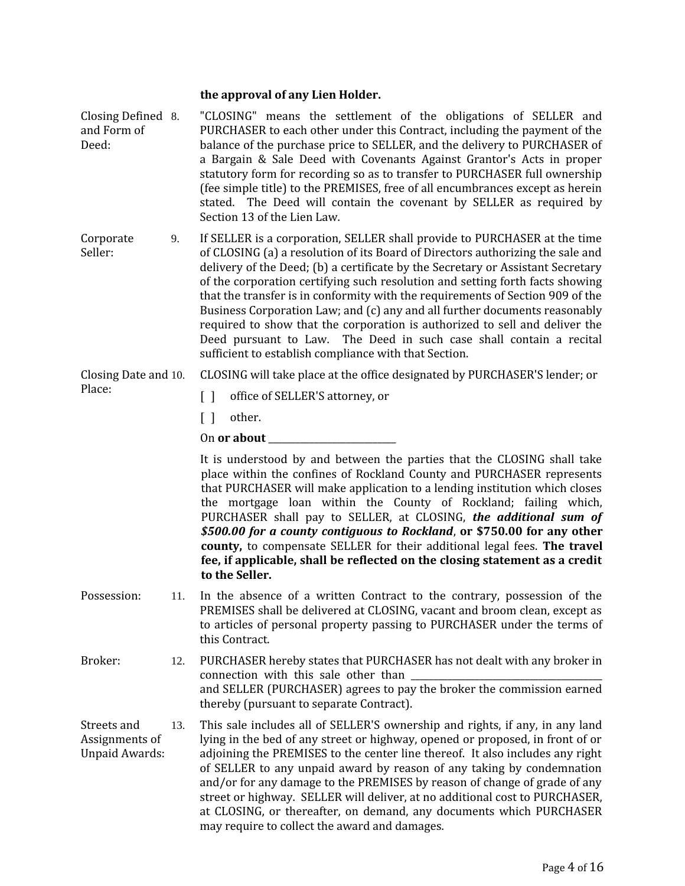### **the approval of any Lien Holder.**

- Closing Defined and Form of Deed: "CLOSING" means the settlement of the obligations of SELLER and PURCHASER to each other under this Contract, including the payment of the balance of the purchase price to SELLER, and the delivery to PURCHASER of a Bargain & Sale Deed with Covenants Against Grantor's Acts in proper statutory form for recording so as to transfer to PURCHASER full ownership (fee simple title) to the PREMISES, free of all encumbrances except as herein stated. The Deed will contain the covenant by SELLER as required by Section 13 of the Lien Law. Corporate 9. If SELLER is a corporation, SELLER shall provide to PURCHASER at the time
- Seller: of CLOSING (a) a resolution of its Board of Directors authorizing the sale and delivery of the Deed; (b) a certificate by the Secretary or Assistant Secretary of the corporation certifying such resolution and setting forth facts showing that the transfer is in conformity with the requirements of Section 909 of the Business Corporation Law; and (c) any and all further documents reasonably required to show that the corporation is authorized to sell and deliver the Deed pursuant to Law. The Deed in such case shall contain a recital sufficient to establish compliance with that Section.

Closing Date and 10. CLOSING will take place at the office designated by PURCHASER'S lender; or

- [] office of SELLER'S attorney, or
- [ ] other.

Place:

## On or about

It is understood by and between the parties that the CLOSING shall take place within the confines of Rockland County and PURCHASER represents that PURCHASER will make application to a lending institution which closes the mortgage loan within the County of Rockland; failing which, PURCHASER shall pay to SELLER, at CLOSING, *the additional sum of \$500.00 for a county contiguous to Rockland*, **or \$750.00 for any other county,** to compensate SELLER for their additional legal fees. **The travel fee, if applicable, shall be reflected on the closing statement as a credit to the Seller.**

- Possession: 11. In the absence of a written Contract to the contrary, possession of the PREMISES shall be delivered at CLOSING, vacant and broom clean, except as to articles of personal property passing to PURCHASER under the terms of this Contract.
- Broker: 12. PURCHASER hereby states that PURCHASER has not dealt with any broker in connection with this sale other than and SELLER (PURCHASER) agrees to pay the broker the commission earned thereby (pursuant to separate Contract).

Streets and Assignments of Unpaid Awards: 13. This sale includes all of SELLER'S ownership and rights, if any, in any land lying in the bed of any street or highway, opened or proposed, in front of or adjoining the PREMISES to the center line thereof. It also includes any right of SELLER to any unpaid award by reason of any taking by condemnation and/or for any damage to the PREMISES by reason of change of grade of any street or highway. SELLER will deliver, at no additional cost to PURCHASER, at CLOSING, or thereafter, on demand, any documents which PURCHASER may require to collect the award and damages.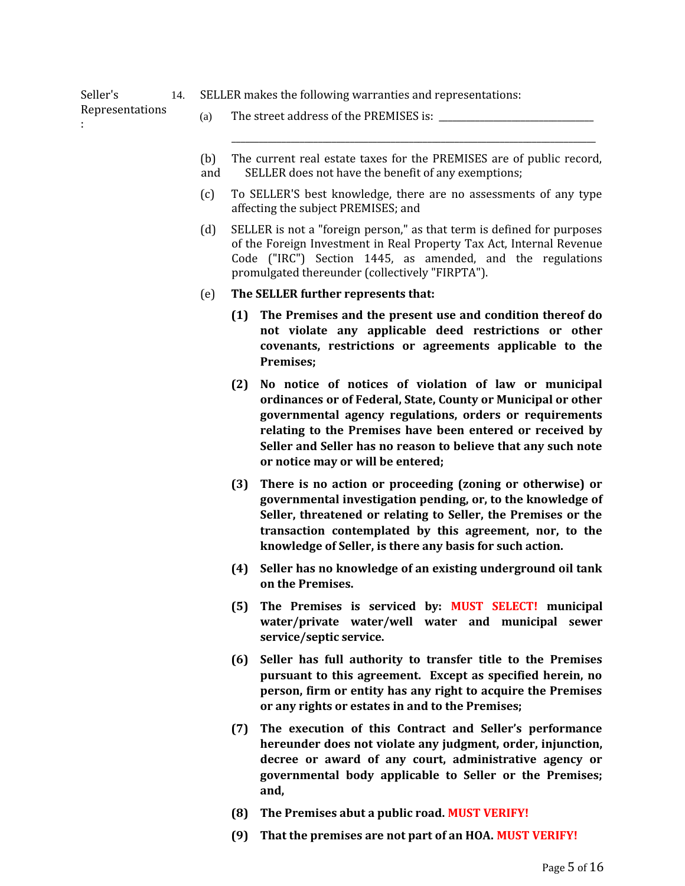14. SELLER makes the following warranties and representations:

Representations

Seller's

:

- (a) The street address of the PREMISES is:
- (b) The current real estate taxes for the PREMISES are of public record,

\_\_\_\_\_\_\_\_\_\_\_\_\_\_\_\_\_\_\_\_\_\_\_\_\_\_\_\_\_\_\_\_\_\_\_\_\_\_\_\_\_\_\_\_\_\_\_\_\_\_\_\_\_\_\_\_\_\_\_\_\_\_\_\_\_\_\_\_\_\_\_\_\_\_\_\_\_\_\_\_

- and SELLER does not have the benefit of any exemptions;
- (c) To SELLER'S best knowledge, there are no assessments of any type affecting the subject PREMISES; and
- (d) SELLER is not a "foreign person," as that term is defined for purposes of the Foreign Investment in Real Property Tax Act, Internal Revenue Code ("IRC") Section 1445, as amended, and the regulations promulgated thereunder (collectively "FIRPTA").
- (e) **The SELLER further represents that:**
	- **(1) The Premises and the present use and condition thereof do not violate any applicable deed restrictions or other covenants, restrictions or agreements applicable to the Premises;**
	- **(2) No notice of notices of violation of law or municipal ordinances or of Federal, State, County or Municipal or other governmental agency regulations, orders or requirements relating to the Premises have been entered or received by Seller and Seller has no reason to believe that any such note or notice may or will be entered;**
	- **(3) There is no action or proceeding (zoning or otherwise) or governmental investigation pending, or, to the knowledge of Seller, threatened or relating to Seller, the Premises or the transaction contemplated by this agreement, nor, to the knowledge of Seller, is there any basis for such action.**
	- **(4) Seller has no knowledge of an existing underground oil tank on the Premises.**
	- **(5) The Premises is serviced by: MUST SELECT! municipal water/private water/well water and municipal sewer service/septic service.**
	- **(6) Seller has full authority to transfer title to the Premises pursuant to this agreement. Except as specified herein, no person, firm or entity has any right to acquire the Premises or any rights or estates in and to the Premises;**
	- **(7) The execution of this Contract and Seller's performance hereunder does not violate any judgment, order, injunction, decree or award of any court, administrative agency or governmental body applicable to Seller or the Premises; and,**
	- **(8) The Premises abut a public road. MUST VERIFY!**
	- **(9) That the premises are not part of an HOA. MUST VERIFY!**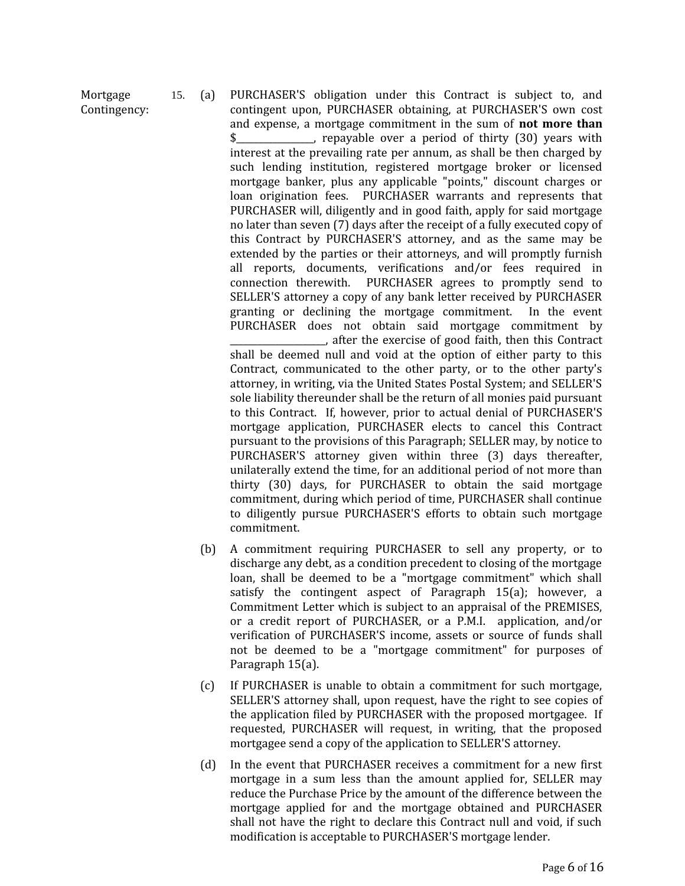Mortgage Contingency: 15. (a) PURCHASER'S obligation under this Contract is subject to, and contingent upon, PURCHASER obtaining, at PURCHASER'S own cost and expense, a mortgage commitment in the sum of **not more than** \$\_\_\_\_\_\_\_\_\_\_\_\_\_\_\_\_\_, repayable over a period of thirty (30) years with interest at the prevailing rate per annum, as shall be then charged by such lending institution, registered mortgage broker or licensed mortgage banker, plus any applicable "points," discount charges or loan origination fees. PURCHASER warrants and represents that

PURCHASER will, diligently and in good faith, apply for said mortgage no later than seven (7) days after the receipt of a fully executed copy of this Contract by PURCHASER'S attorney, and as the same may be extended by the parties or their attorneys, and will promptly furnish all reports, documents, verifications and/or fees required in connection therewith. PURCHASER agrees to promptly send to SELLER'S attorney a copy of any bank letter received by PURCHASER granting or declining the mortgage commitment. In the event PURCHASER does not obtain said mortgage commitment by \_\_\_\_\_\_\_\_\_\_\_\_\_\_\_\_\_\_\_\_\_, after the exercise of good faith, then this Contract shall be deemed null and void at the option of either party to this Contract, communicated to the other party, or to the other party's attorney, in writing, via the United States Postal System; and SELLER'S sole liability thereunder shall be the return of all monies paid pursuant to this Contract. If, however, prior to actual denial of PURCHASER'S mortgage application, PURCHASER elects to cancel this Contract pursuant to the provisions of this Paragraph; SELLER may, by notice to PURCHASER'S attorney given within three (3) days thereafter, unilaterally extend the time, for an additional period of not more than thirty (30) days, for PURCHASER to obtain the said mortgage commitment, during which period of time, PURCHASER shall continue to diligently pursue PURCHASER'S efforts to obtain such mortgage commitment.

- (b) A commitment requiring PURCHASER to sell any property, or to discharge any debt, as a condition precedent to closing of the mortgage loan, shall be deemed to be a "mortgage commitment" which shall satisfy the contingent aspect of Paragraph 15(a); however, a Commitment Letter which is subject to an appraisal of the PREMISES, or a credit report of PURCHASER, or a P.M.I. application, and/or verification of PURCHASER'S income, assets or source of funds shall not be deemed to be a "mortgage commitment" for purposes of Paragraph 15(a).
- (c) If PURCHASER is unable to obtain a commitment for such mortgage, SELLER'S attorney shall, upon request, have the right to see copies of the application filed by PURCHASER with the proposed mortgagee. If requested, PURCHASER will request, in writing, that the proposed mortgagee send a copy of the application to SELLER'S attorney.
- (d) In the event that PURCHASER receives a commitment for a new first mortgage in a sum less than the amount applied for, SELLER may reduce the Purchase Price by the amount of the difference between the mortgage applied for and the mortgage obtained and PURCHASER shall not have the right to declare this Contract null and void, if such modification is acceptable to PURCHASER'S mortgage lender.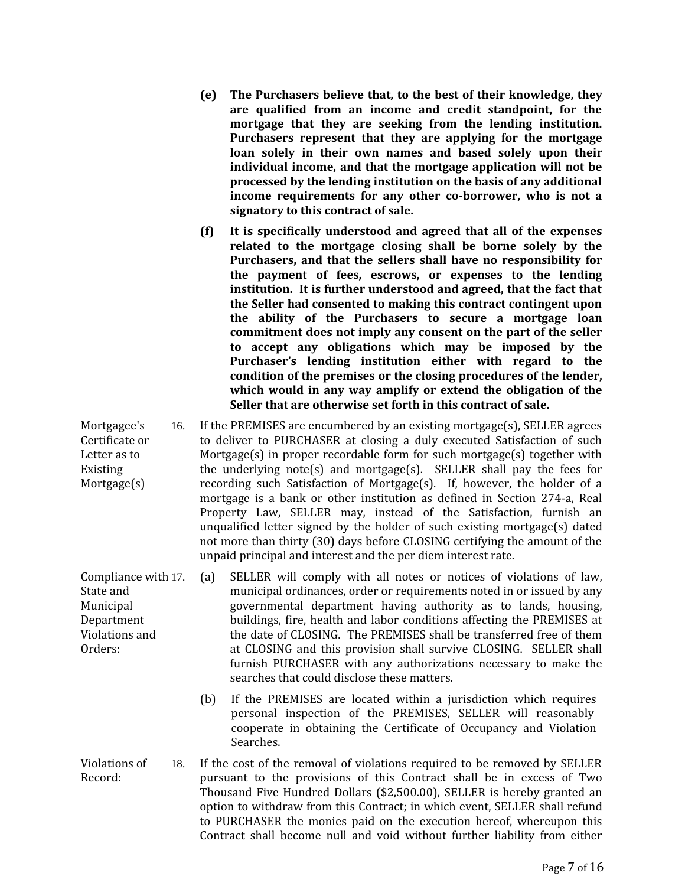- **(e) The Purchasers believe that, to the best of their knowledge, they are qualified from an income and credit standpoint, for the mortgage that they are seeking from the lending institution. Purchasers represent that they are applying for the mortgage loan solely in their own names and based solely upon their individual income, and that the mortgage application will not be processed by the lending institution on the basis of any additional income requirements for any other co-borrower, who is not a signatory to this contract of sale.**
- **(f) It is specifically understood and agreed that all of the expenses related to the mortgage closing shall be borne solely by the Purchasers, and that the sellers shall have no responsibility for the payment of fees, escrows, or expenses to the lending institution. It is further understood and agreed, that the fact that the Seller had consented to making this contract contingent upon the ability of the Purchasers to secure a mortgage loan commitment does not imply any consent on the part of the seller to accept any obligations which may be imposed by the Purchaser's lending institution either with regard to the condition of the premises or the closing procedures of the lender, which would in any way amplify or extend the obligation of the Seller that are otherwise set forth in this contract of sale.**
- Mortgagee's 16. If the PREMISES are encumbered by an existing mortgage(s), SELLER agrees to deliver to PURCHASER at closing a duly executed Satisfaction of such Mortgage(s) in proper recordable form for such mortgage(s) together with the underlying note(s) and mortgage(s). SELLER shall pay the fees for recording such Satisfaction of Mortgage(s). If, however, the holder of a mortgage is a bank or other institution as defined in Section 274-a, Real Property Law, SELLER may, instead of the Satisfaction, furnish an unqualified letter signed by the holder of such existing mortgage(s) dated not more than thirty (30) days before CLOSING certifying the amount of the unpaid principal and interest and the per diem interest rate.
	- (a) SELLER will comply with all notes or notices of violations of law, municipal ordinances, order or requirements noted in or issued by any governmental department having authority as to lands, housing, buildings, fire, health and labor conditions affecting the PREMISES at the date of CLOSING. The PREMISES shall be transferred free of them at CLOSING and this provision shall survive CLOSING. SELLER shall furnish PURCHASER with any authorizations necessary to make the searches that could disclose these matters.
		- (b) If the PREMISES are located within a jurisdiction which requires personal inspection of the PREMISES, SELLER will reasonably cooperate in obtaining the Certificate of Occupancy and Violation Searches.
- Violations of Record: 18. If the cost of the removal of violations required to be removed by SELLER pursuant to the provisions of this Contract shall be in excess of Two Thousand Five Hundred Dollars (\$2,500.00), SELLER is hereby granted an option to withdraw from this Contract; in which event, SELLER shall refund to PURCHASER the monies paid on the execution hereof, whereupon this Contract shall become null and void without further liability from either

Certificate or Letter as to Existing Mortgage(s)

Compliance with 17. State and Municipal Department Violations and Orders: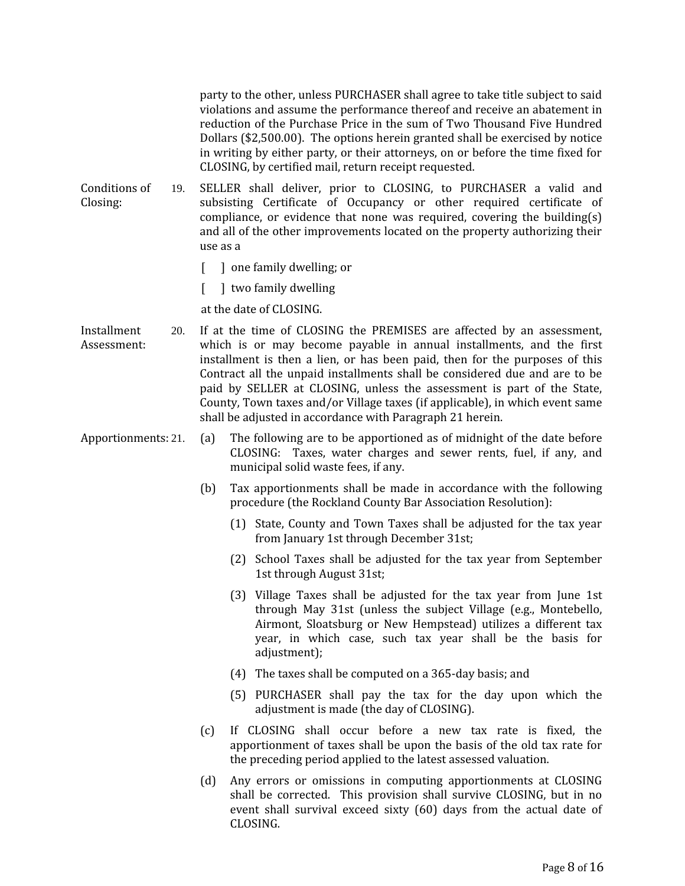party to the other, unless PURCHASER shall agree to take title subject to said violations and assume the performance thereof and receive an abatement in reduction of the Purchase Price in the sum of Two Thousand Five Hundred Dollars (\$2,500.00). The options herein granted shall be exercised by notice in writing by either party, or their attorneys, on or before the time fixed for CLOSING, by certified mail, return receipt requested.

Conditions of Closing: 19. SELLER shall deliver, prior to CLOSING, to PURCHASER a valid and subsisting Certificate of Occupancy or other required certificate of compliance, or evidence that none was required, covering the building(s) and all of the other improvements located on the property authorizing their use as a

- [ ] one family dwelling; or
- [ ] two family dwelling

at the date of CLOSING.

- Installment Assessment: 20. If at the time of CLOSING the PREMISES are affected by an assessment, which is or may become payable in annual installments, and the first installment is then a lien, or has been paid, then for the purposes of this Contract all the unpaid installments shall be considered due and are to be paid by SELLER at CLOSING, unless the assessment is part of the State, County, Town taxes and/or Village taxes (if applicable), in which event same shall be adjusted in accordance with Paragraph 21 herein.
- Apportionments: 21. (a) The following are to be apportioned as of midnight of the date before CLOSING: Taxes, water charges and sewer rents, fuel, if any, and municipal solid waste fees, if any.
	- (b) Tax apportionments shall be made in accordance with the following procedure (the Rockland County Bar Association Resolution):
		- (1) State, County and Town Taxes shall be adjusted for the tax year from January 1st through December 31st;
		- (2) School Taxes shall be adjusted for the tax year from September 1st through August 31st;
		- (3) Village Taxes shall be adjusted for the tax year from June 1st through May 31st (unless the subject Village (e.g., Montebello, Airmont, Sloatsburg or New Hempstead) utilizes a different tax year, in which case, such tax year shall be the basis for adjustment);
		- (4) The taxes shall be computed on a 365-day basis; and
		- (5) PURCHASER shall pay the tax for the day upon which the adjustment is made (the day of CLOSING).
	- (c) If CLOSING shall occur before a new tax rate is fixed, the apportionment of taxes shall be upon the basis of the old tax rate for the preceding period applied to the latest assessed valuation.
	- (d) Any errors or omissions in computing apportionments at CLOSING shall be corrected. This provision shall survive CLOSING, but in no event shall survival exceed sixty (60) days from the actual date of CLOSING.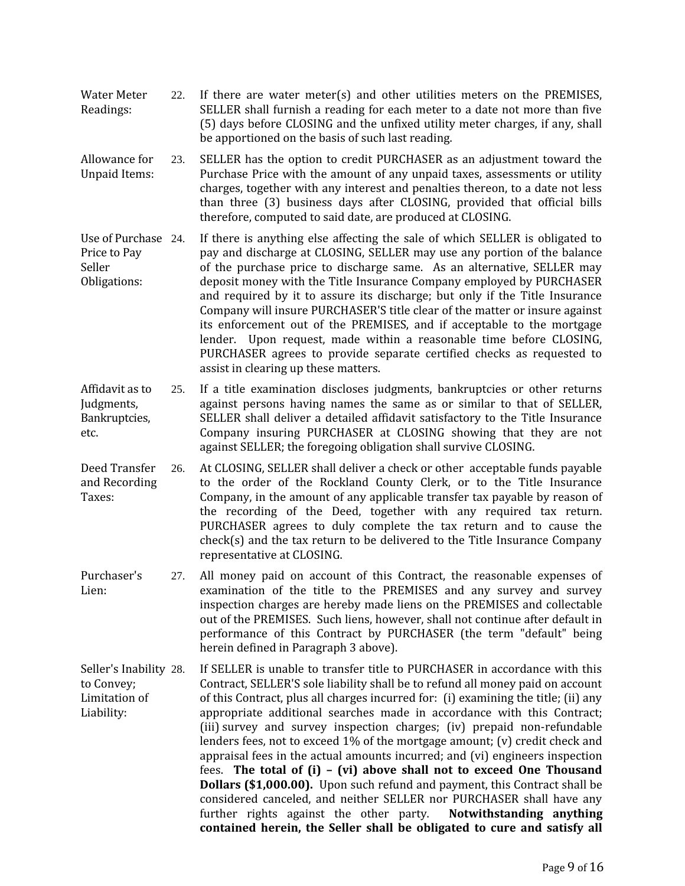- Water Meter Readings: 22. If there are water meter(s) and other utilities meters on the PREMISES, SELLER shall furnish a reading for each meter to a date not more than five (5) days before CLOSING and the unfixed utility meter charges, if any, shall be apportioned on the basis of such last reading.
- Allowance for Unpaid Items: 23. SELLER has the option to credit PURCHASER as an adjustment toward the Purchase Price with the amount of any unpaid taxes, assessments or utility charges, together with any interest and penalties thereon, to a date not less than three (3) business days after CLOSING, provided that official bills therefore, computed to said date, are produced at CLOSING.
- Use of Purchase 24. Price to Pay Seller Obligations: 24. If there is anything else affecting the sale of which SELLER is obligated to pay and discharge at CLOSING, SELLER may use any portion of the balance of the purchase price to discharge same. As an alternative, SELLER may deposit money with the Title Insurance Company employed by PURCHASER and required by it to assure its discharge; but only if the Title Insurance Company will insure PURCHASER'S title clear of the matter or insure against its enforcement out of the PREMISES, and if acceptable to the mortgage lender. Upon request, made within a reasonable time before CLOSING, PURCHASER agrees to provide separate certified checks as requested to assist in clearing up these matters.
- Affidavit as to Judgments, Bankruptcies, etc. 25. If a title examination discloses judgments, bankruptcies or other returns against persons having names the same as or similar to that of SELLER, SELLER shall deliver a detailed affidavit satisfactory to the Title Insurance Company insuring PURCHASER at CLOSING showing that they are not against SELLER; the foregoing obligation shall survive CLOSING.
- Deed Transfer and Recording Taxes: 26. At CLOSING, SELLER shall deliver a check or other acceptable funds payable to the order of the Rockland County Clerk, or to the Title Insurance Company, in the amount of any applicable transfer tax payable by reason of the recording of the Deed, together with any required tax return. PURCHASER agrees to duly complete the tax return and to cause the check(s) and the tax return to be delivered to the Title Insurance Company representative at CLOSING.
- Purchaser's Lien: 27. All money paid on account of this Contract, the reasonable expenses of examination of the title to the PREMISES and any survey and survey inspection charges are hereby made liens on the PREMISES and collectable out of the PREMISES. Such liens, however, shall not continue after default in performance of this Contract by PURCHASER (the term "default" being herein defined in Paragraph 3 above).

Seller's Inability 28. to Convey; Limitation of Liability: 28. If SELLER is unable to transfer title to PURCHASER in accordance with this Contract, SELLER'S sole liability shall be to refund all money paid on account of this Contract, plus all charges incurred for: (i) examining the title; (ii) any appropriate additional searches made in accordance with this Contract; (iii) survey and survey inspection charges; (iv) prepaid non-refundable lenders fees, not to exceed 1% of the mortgage amount; (v) credit check and appraisal fees in the actual amounts incurred; and (vi) engineers inspection fees. **The total of (i) – (vi) above shall not to exceed One Thousand Dollars (\$1,000.00).** Upon such refund and payment, this Contract shall be considered canceled, and neither SELLER nor PURCHASER shall have any further rights against the other party. **Notwithstanding anything contained herein, the Seller shall be obligated to cure and satisfy all**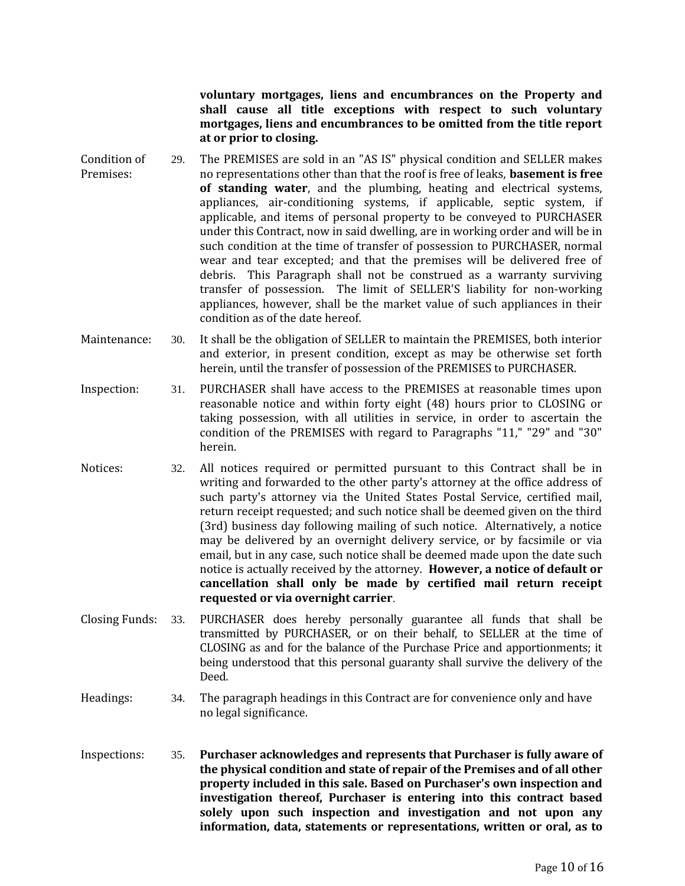**voluntary mortgages, liens and encumbrances on the Property and shall cause all title exceptions with respect to such voluntary mortgages, liens and encumbrances to be omitted from the title report at or prior to closing.**

- Condition of Premises: 29. The PREMISES are sold in an "AS IS" physical condition and SELLER makes no representations other than that the roof is free of leaks, **basement is free of standing water**, and the plumbing, heating and electrical systems, appliances, air-conditioning systems, if applicable, septic system, if applicable, and items of personal property to be conveyed to PURCHASER under this Contract, now in said dwelling, are in working order and will be in such condition at the time of transfer of possession to PURCHASER, normal wear and tear excepted; and that the premises will be delivered free of debris. This Paragraph shall not be construed as a warranty surviving transfer of possession. The limit of SELLER'S liability for non-working appliances, however, shall be the market value of such appliances in their condition as of the date hereof.
- Maintenance: 30. It shall be the obligation of SELLER to maintain the PREMISES, both interior and exterior, in present condition, except as may be otherwise set forth herein, until the transfer of possession of the PREMISES to PURCHASER.
- Inspection: 31. PURCHASER shall have access to the PREMISES at reasonable times upon reasonable notice and within forty eight (48) hours prior to CLOSING or taking possession, with all utilities in service, in order to ascertain the condition of the PREMISES with regard to Paragraphs "11," "29" and "30" herein.
- Notices: 32. All notices required or permitted pursuant to this Contract shall be in writing and forwarded to the other party's attorney at the office address of such party's attorney via the United States Postal Service, certified mail, return receipt requested; and such notice shall be deemed given on the third (3rd) business day following mailing of such notice. Alternatively, a notice may be delivered by an overnight delivery service, or by facsimile or via email, but in any case, such notice shall be deemed made upon the date such notice is actually received by the attorney. **However, a notice of default or cancellation shall only be made by certified mail return receipt requested or via overnight carrier**.
- Closing Funds: 33. PURCHASER does hereby personally guarantee all funds that shall be transmitted by PURCHASER, or on their behalf, to SELLER at the time of CLOSING as and for the balance of the Purchase Price and apportionments; it being understood that this personal guaranty shall survive the delivery of the Deed.
- Headings: 34. The paragraph headings in this Contract are for convenience only and have no legal significance.
- Inspections: 35. **Purchaser acknowledges and represents that Purchaser is fully aware of the physical condition and state of repair of the Premises and of all other property included in this sale. Based on Purchaser's own inspection and investigation thereof, Purchaser is entering into this contract based solely upon such inspection and investigation and not upon any information, data, statements or representations, written or oral, as to**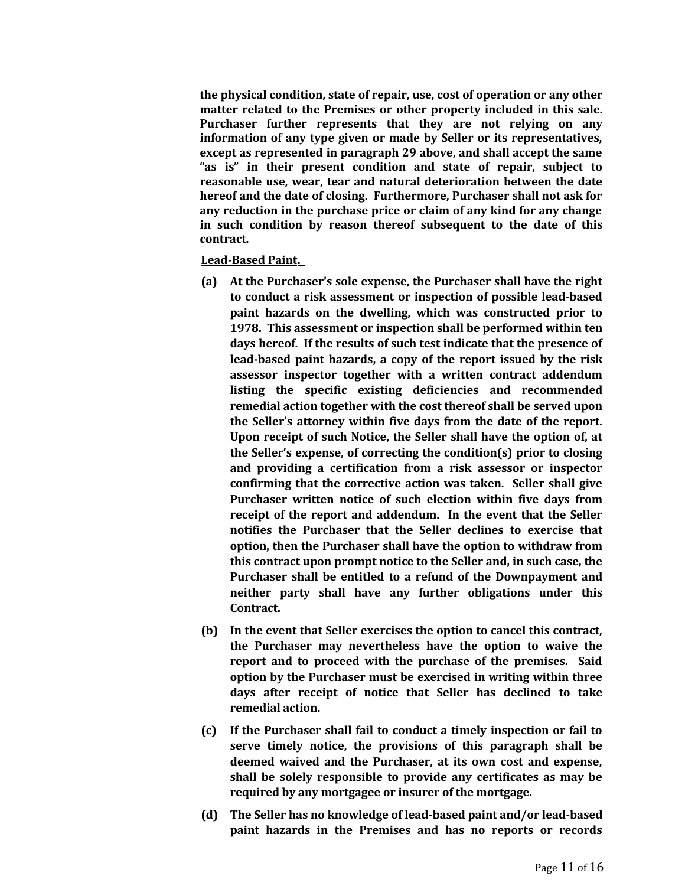**the physical condition, state of repair, use, cost of operation or any other matter related to the Premises or other property included in this sale. Purchaser further represents that they are not relying on any information of any type given or made by Seller or its representatives, except as represented in paragraph 29 above, and shall accept the same "as is" in their present condition and state of repair, subject to reasonable use, wear, tear and natural deterioration between the date hereof and the date of closing. Furthermore, Purchaser shall not ask for any reduction in the purchase price or claim of any kind for any change in such condition by reason thereof subsequent to the date of this contract.** 

### **Lead-Based Paint.**

- **(a) At the Purchaser's sole expense, the Purchaser shall have the right to conduct a risk assessment or inspection of possible lead-based paint hazards on the dwelling, which was constructed prior to 1978. This assessment or inspection shall be performed within ten days hereof. If the results of such test indicate that the presence of lead-based paint hazards, a copy of the report issued by the risk assessor inspector together with a written contract addendum listing the specific existing deficiencies and recommended remedial action together with the cost thereof shall be served upon the Seller's attorney within five days from the date of the report. Upon receipt of such Notice, the Seller shall have the option of, at the Seller's expense, of correcting the condition(s) prior to closing and providing a certification from a risk assessor or inspector confirming that the corrective action was taken. Seller shall give Purchaser written notice of such election within five days from receipt of the report and addendum. In the event that the Seller notifies the Purchaser that the Seller declines to exercise that option, then the Purchaser shall have the option to withdraw from this contract upon prompt notice to the Seller and, in such case, the Purchaser shall be entitled to a refund of the Downpayment and neither party shall have any further obligations under this Contract.**
- **(b) In the event that Seller exercises the option to cancel this contract, the Purchaser may nevertheless have the option to waive the report and to proceed with the purchase of the premises. Said option by the Purchaser must be exercised in writing within three days after receipt of notice that Seller has declined to take remedial action.**
- **(c) If the Purchaser shall fail to conduct a timely inspection or fail to serve timely notice, the provisions of this paragraph shall be deemed waived and the Purchaser, at its own cost and expense, shall be solely responsible to provide any certificates as may be required by any mortgagee or insurer of the mortgage.**
- **(d) The Seller has no knowledge of lead-based paint and/or lead-based paint hazards in the Premises and has no reports or records**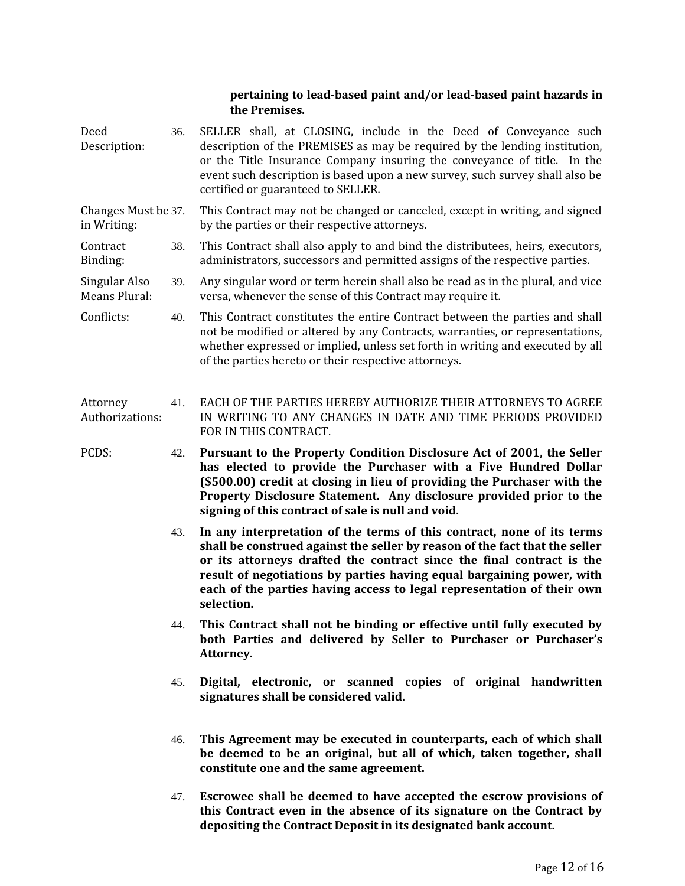## **pertaining to lead-based paint and/or lead-based paint hazards in the Premises.**

- Deed Description: 36. SELLER shall, at CLOSING, include in the Deed of Conveyance such description of the PREMISES as may be required by the lending institution, or the Title Insurance Company insuring the conveyance of title. In the event such description is based upon a new survey, such survey shall also be certified or guaranteed to SELLER.
- Changes Must be in Writing: This Contract may not be changed or canceled, except in writing, and signed by the parties or their respective attorneys.
- Contract Binding: 38. This Contract shall also apply to and bind the distributees, heirs, executors, administrators, successors and permitted assigns of the respective parties.
- Singular Also Means Plural: 39. Any singular word or term herein shall also be read as in the plural, and vice versa, whenever the sense of this Contract may require it.
- Conflicts: 40. This Contract constitutes the entire Contract between the parties and shall not be modified or altered by any Contracts, warranties, or representations, whether expressed or implied, unless set forth in writing and executed by all of the parties hereto or their respective attorneys.
- Attorney Authorizations: 41. EACH OF THE PARTIES HEREBY AUTHORIZE THEIR ATTORNEYS TO AGREE IN WRITING TO ANY CHANGES IN DATE AND TIME PERIODS PROVIDED FOR IN THIS CONTRACT.
- PCDS: 42. **Pursuant to the Property Condition Disclosure Act of 2001, the Seller has elected to provide the Purchaser with a Five Hundred Dollar (\$500.00) credit at closing in lieu of providing the Purchaser with the Property Disclosure Statement. Any disclosure provided prior to the signing of this contract of sale is null and void.**
	- 43. **In any interpretation of the terms of this contract, none of its terms shall be construed against the seller by reason of the fact that the seller or its attorneys drafted the contract since the final contract is the result of negotiations by parties having equal bargaining power, with each of the parties having access to legal representation of their own selection.**
	- 44. **This Contract shall not be binding or effective until fully executed by both Parties and delivered by Seller to Purchaser or Purchaser's Attorney.**
	- 45. **Digital, electronic, or scanned copies of original handwritten signatures shall be considered valid.**
	- 46. **This Agreement may be executed in counterparts, each of which shall be deemed to be an original, but all of which, taken together, shall constitute one and the same agreement.**
	- 47. **Escrowee shall be deemed to have accepted the escrow provisions of this Contract even in the absence of its signature on the Contract by depositing the Contract Deposit in its designated bank account.**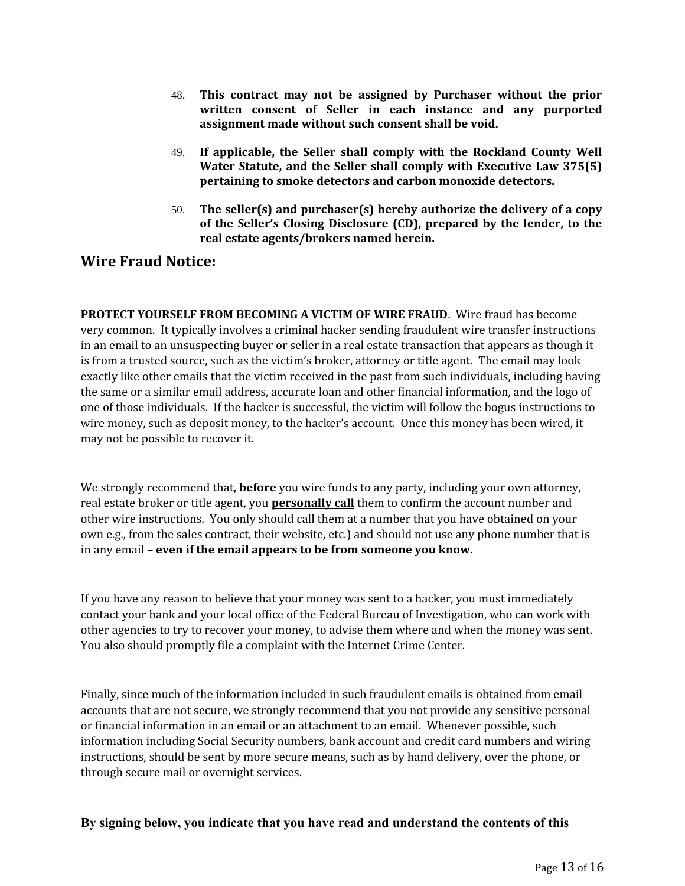- 48. **This contract may not be assigned by Purchaser without the prior written consent of Seller in each instance and any purported assignment made without such consent shall be void.**
- 49. **If applicable, the Seller shall comply with the Rockland County Well Water Statute, and the Seller shall comply with Executive Law 375(5) pertaining to smoke detectors and carbon monoxide detectors.**
- 50. **The seller(s) and purchaser(s) hereby authorize the delivery of a copy of the Seller's Closing Disclosure (CD), prepared by the lender, to the real estate agents/brokers named herein.**

## **Wire Fraud Notice:**

**PROTECT YOURSELF FROM BECOMING A VICTIM OF WIRE FRAUD**. Wire fraud has become very common. It typically involves a criminal hacker sending fraudulent wire transfer instructions in an email to an unsuspecting buyer or seller in a real estate transaction that appears as though it is from a trusted source, such as the victim's broker, attorney or title agent. The email may look exactly like other emails that the victim received in the past from such individuals, including having the same or a similar email address, accurate loan and other financial information, and the logo of one of those individuals. If the hacker is successful, the victim will follow the bogus instructions to wire money, such as deposit money, to the hacker's account. Once this money has been wired, it may not be possible to recover it.

We strongly recommend that, **before** you wire funds to any party, including your own attorney, real estate broker or title agent, you **personally call** them to confirm the account number and other wire instructions. You only should call them at a number that you have obtained on your own e.g., from the sales contract, their website, etc.) and should not use any phone number that is in any email – **even if the email appears to be from someone you know.**

If you have any reason to believe that your money was sent to a hacker, you must immediately contact your bank and your local office of the Federal Bureau of Investigation, who can work with other agencies to try to recover your money, to advise them where and when the money was sent. You also should promptly file a complaint with the Internet Crime Center.

Finally, since much of the information included in such fraudulent emails is obtained from email accounts that are not secure, we strongly recommend that you not provide any sensitive personal or financial information in an email or an attachment to an email. Whenever possible, such information including Social Security numbers, bank account and credit card numbers and wiring instructions, should be sent by more secure means, such as by hand delivery, over the phone, or through secure mail or overnight services.

## **By signing below, you indicate that you have read and understand the contents of this**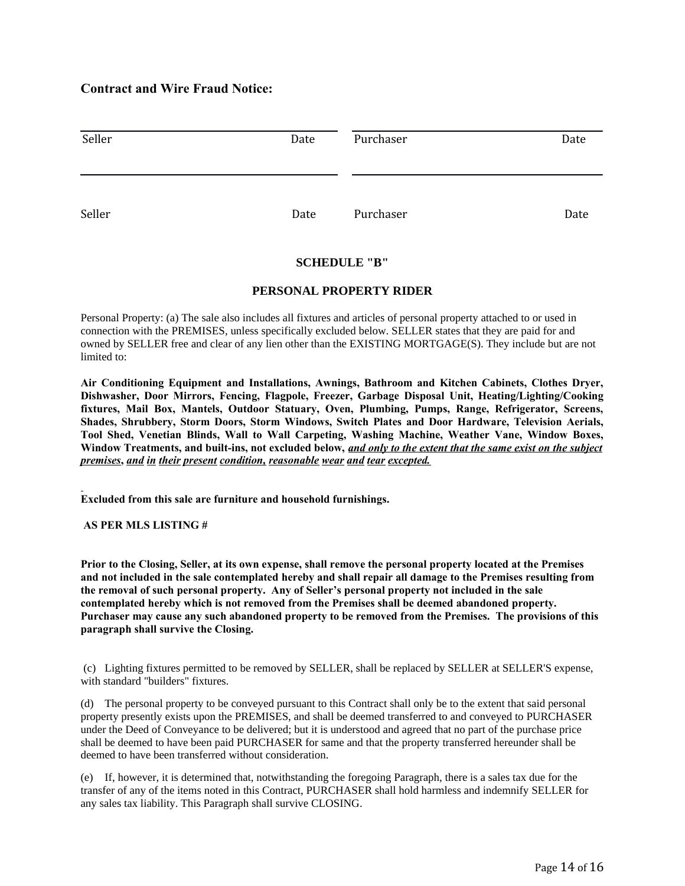## **Contract and Wire Fraud Notice:**

| Seller | Date | Purchaser | Date |
|--------|------|-----------|------|
| Seller | Date | Purchaser | Date |

### **SCHEDULE "B"**

### **PERSONAL PROPERTY RIDER**

Personal Property: (a) The sale also includes all fixtures and articles of personal property attached to or used in connection with the PREMISES, unless specifically excluded below. SELLER states that they are paid for and owned by SELLER free and clear of any lien other than the EXISTING MORTGAGE(S). They include but are not limited to:

**Air Conditioning Equipment and Installations, Awnings, Bathroom and Kitchen Cabinets, Clothes Dryer, Dishwasher, Door Mirrors, Fencing, Flagpole, Freezer, Garbage Disposal Unit, Heating/Lighting/Cooking fixtures, Mail Box, Mantels, Outdoor Statuary, Oven, Plumbing, Pumps, Range, Refrigerator, Screens, Shades, Shrubbery, Storm Doors, Storm Windows, Switch Plates and Door Hardware, Television Aerials, Tool Shed, Venetian Blinds, Wall to Wall Carpeting, Washing Machine, Weather Vane, Window Boxes, Window Treatments, and built-ins, not excluded below,** *and only to the extent that the same exist on the subject premises***,** *and in their present condition, reasonable wear and tear excepted.* 

**Excluded from this sale are furniture and household furnishings.**

 **AS PER MLS LISTING #**

**Prior to the Closing, Seller, at its own expense, shall remove the personal property located at the Premises and not included in the sale contemplated hereby and shall repair all damage to the Premises resulting from the removal of such personal property. Any of Seller's personal property not included in the sale contemplated hereby which is not removed from the Premises shall be deemed abandoned property. Purchaser may cause any such abandoned property to be removed from the Premises. The provisions of this paragraph shall survive the Closing.**

 (c) Lighting fixtures permitted to be removed by SELLER, shall be replaced by SELLER at SELLER'S expense, with standard "builders" fixtures.

(d) The personal property to be conveyed pursuant to this Contract shall only be to the extent that said personal property presently exists upon the PREMISES, and shall be deemed transferred to and conveyed to PURCHASER under the Deed of Conveyance to be delivered; but it is understood and agreed that no part of the purchase price shall be deemed to have been paid PURCHASER for same and that the property transferred hereunder shall be deemed to have been transferred without consideration.

(e) If, however, it is determined that, notwithstanding the foregoing Paragraph, there is a sales tax due for the transfer of any of the items noted in this Contract, PURCHASER shall hold harmless and indemnify SELLER for any sales tax liability. This Paragraph shall survive CLOSING.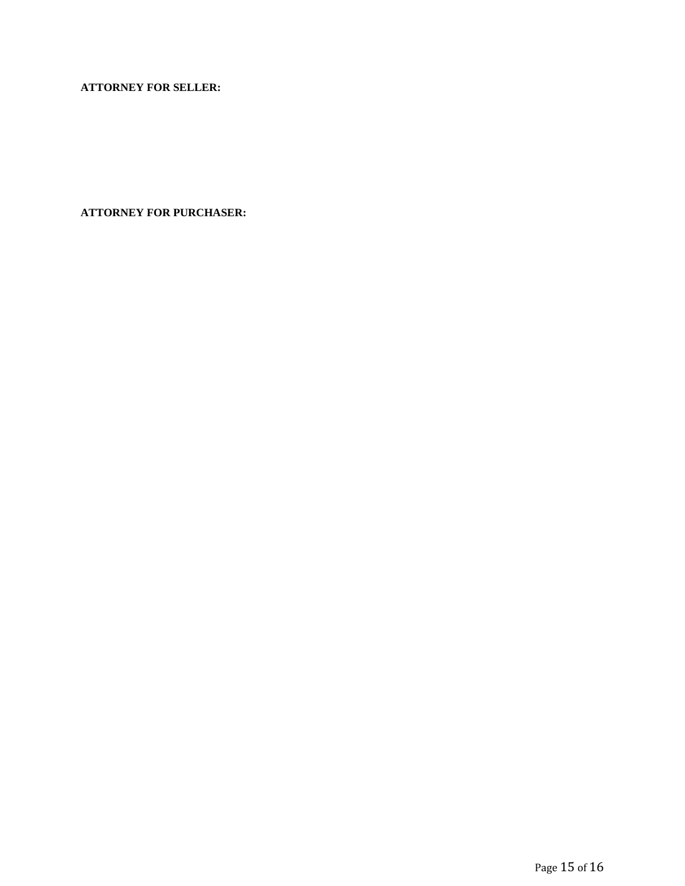**ATTORNEY FOR SELLER:**

**ATTORNEY FOR PURCHASER:**